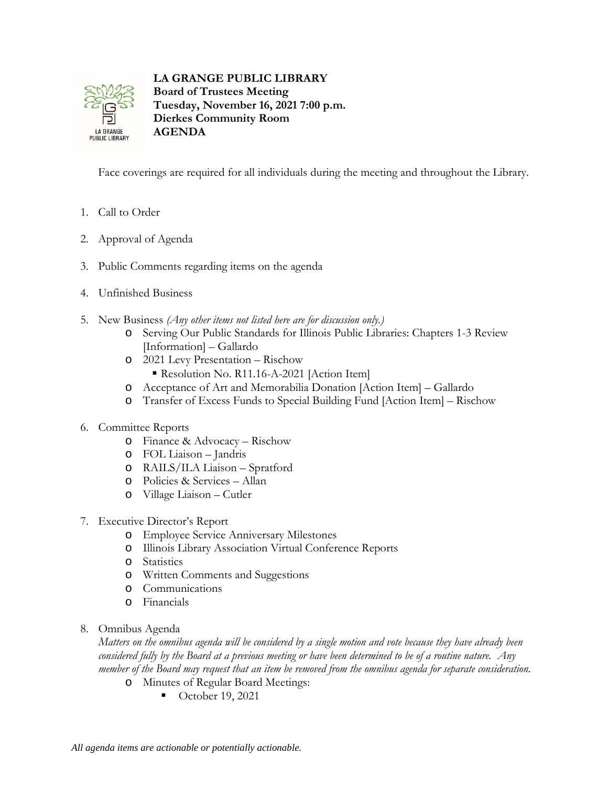

**LA GRANGE PUBLIC LIBRARY Board of Trustees Meeting Tuesday, November 16, 2021 7:00 p.m. Dierkes Community Room AGENDA**

Face coverings are required for all individuals during the meeting and throughout the Library.

- 1. Call to Order
- 2. Approval of Agenda
- 3. Public Comments regarding items on the agenda
- 4. Unfinished Business
- 5. New Business *(Any other items not listed here are for discussion only.)*
	- o Serving Our Public Standards for Illinois Public Libraries: Chapters 1-3 Review [Information] – Gallardo
	- o 2021 Levy Presentation Rischow
		- Resolution No. R11.16-A-2021 [Action Item]
	- o Acceptance of Art and Memorabilia Donation [Action Item] Gallardo
	- o Transfer of Excess Funds to Special Building Fund [Action Item] Rischow
- 6. Committee Reports
	- o Finance & Advocacy Rischow
	- o FOL Liaison Jandris
	- o RAILS/ILA Liaison Spratford
	- o Policies & Services Allan
	- o Village Liaison Cutler
- 7. Executive Director's Report
	- o Employee Service Anniversary Milestones
	- o Illinois Library Association Virtual Conference Reports
	- o Statistics
	- o Written Comments and Suggestions
	- o Communications
	- o Financials
- 8. Omnibus Agenda

*Matters on the omnibus agenda will be considered by a single motion and vote because they have already been considered fully by the Board at a previous meeting or have been determined to be of a routine nature. Any member of the Board may request that an item be removed from the omnibus agenda for separate consideration.*

- o Minutes of Regular Board Meetings:
	- October 19, 2021